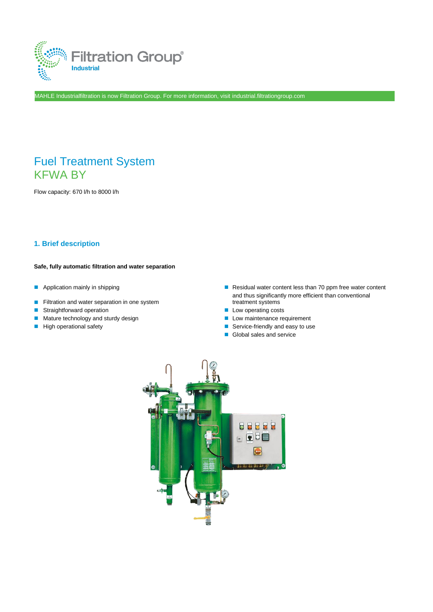

MAHLE Industrialfiltration is now Filtration Group. For more information, visit industrial.filtrationgroup.com

# Fuel Treatment System KFWA BY

Flow capacity: 670 l/h to 8000 l/h

### **1. Brief description**

#### **Safe, fully automatic filtration and water separation**

- 
- Filtration and water separation in one system
- Straightforward operation Low operating costs
- Mature technology and sturdy design ■ Low maintenance requirement
- 
- Application mainly in shipping ■ Residual water content less than 70 ppm free water content and thus significantly more efficient than conventional treatment systems
	-
	-
- High operational safety  $\blacksquare$  Service-friendly and easy to use
	- Global sales and service

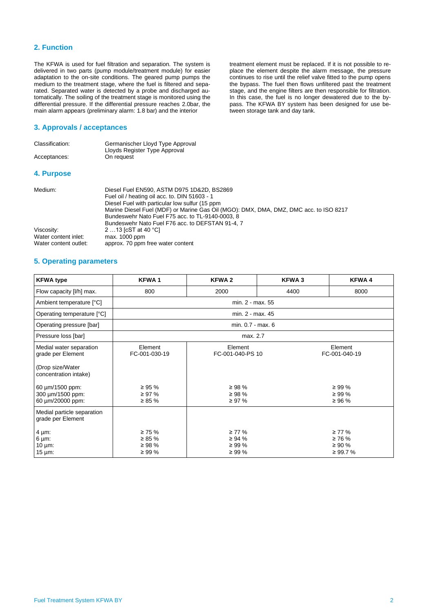#### **2. Function**

The KFWA is used for fuel filtration and separation. The system is delivered in two parts (pump module/treatment module) for easier adaptation to the on-site conditions. The geared pump pumps the medium to the treatment stage, where the fuel is filtered and separated. Separated water is detected by a probe and discharged automatically. The soiling of the treatment stage is monitored using the differential pressure. If the differential pressure reaches 2.0bar, the main alarm appears (preliminary alarm: 1.8 bar) and the interior

#### **3. Approvals / acceptances**

| Classification: | Germanischer Lloyd Type Approval<br>Lloyds Register Type Approval |
|-----------------|-------------------------------------------------------------------|
| Acceptances:    | On request                                                        |
| 4. Purpose      |                                                                   |

| Medium:               | Diesel Fuel EN590, ASTM D975 1D&2D, BS2869                                            |
|-----------------------|---------------------------------------------------------------------------------------|
|                       | Fuel oil / heating oil acc. to. DIN 51603 - 1                                         |
|                       | Diesel Fuel with particular low sulfur (15 ppm)                                       |
|                       | Marine Diesel Fuel (MDF) or Marine Gas Oil (MGO): DMX, DMA, DMZ, DMC acc. to ISO 8217 |
|                       | Bundeswehr Nato Fuel F75 acc. to TL-9140-0003, 8                                      |
|                       | Bundeswehr Nato Fuel F76 acc. to DEFSTAN 91-4, 7                                      |
| Viscosity:            | 2 13 [cST at 40 °C]                                                                   |
| Water content inlet:  | max. 1000 ppm                                                                         |
| Water content outlet: | approx. 70 ppm free water content                                                     |
|                       |                                                                                       |

treatment element must be replaced. If it is not possible to replace the element despite the alarm message, the pressure continues to rise until the relief valve fitted to the pump opens the bypass. The fuel then flows unfiltered past the treatment stage, and the engine filters are then responsible for filtration. In this case, the fuel is no longer dewatered due to the bypass. The KFWA BY system has been designed for use be-

tween storage tank and day tank.

#### **5. Operating parameters**

| <b>KFWA type</b>                                                                                                                                     | <b>KFWA1</b>                                                            | <b>KFWA2</b>                                                             | KFWA 3 | <b>KFWA4</b>                                                            |  |  |
|------------------------------------------------------------------------------------------------------------------------------------------------------|-------------------------------------------------------------------------|--------------------------------------------------------------------------|--------|-------------------------------------------------------------------------|--|--|
| Flow capacity [I/h] max.                                                                                                                             | 800                                                                     | 2000                                                                     | 4400   | 8000                                                                    |  |  |
| Ambient temperature [°C]                                                                                                                             |                                                                         | min. 2 - max. 55                                                         |        |                                                                         |  |  |
| Operating temperature [°C]                                                                                                                           |                                                                         | min. 2 - max. 45                                                         |        |                                                                         |  |  |
| Operating pressure [bar]                                                                                                                             |                                                                         | min. 0.7 - max. 6                                                        |        |                                                                         |  |  |
| Pressure loss [bar]                                                                                                                                  | max. 2.7                                                                |                                                                          |        |                                                                         |  |  |
| Medial water separation<br>grade per Element<br>(Drop size/Water<br>concentration intake)<br>60 µm/1500 ppm:<br>300 um/1500 ppm:<br>60 µm/20000 ppm: | Element<br>FC-001-030-19<br>$\geq 95 \%$<br>$\geq$ 97 %<br>$\geq 85 \%$ | Element<br>FC-001-040-PS 10<br>$\geq$ 98 %<br>$\geq$ 98 %<br>$\geq 97\%$ |        | Element<br>FC-001-040-19<br>$\geq$ 99 %<br>$\geq 99 \%$<br>$\geq 96 \%$ |  |  |
| Medial particle separation<br>grade per Element<br>$4 \mu m$ :<br>$6 \mu m$ :<br>10 $\mu$ m:<br>$15 \mu m$ :                                         | $\geq 75 \%$<br>$\geq 85 \%$<br>$\geq$ 98 %<br>$\geq 99 \%$             | $\geq 77\%$<br>$\geq 94 \%$<br>$\geq 99 \%$<br>$\geq 99 \%$              |        | $\geq 77\%$<br>$\geq 76 \%$<br>$\geq 90 \%$<br>≥ 99.7 %                 |  |  |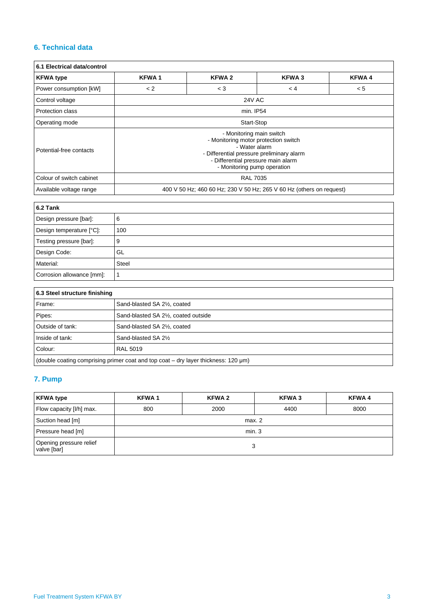## **6. Technical data**

| 6.1 Electrical data/control |                                                                                                                                                                                                     |              |              |              |  |
|-----------------------------|-----------------------------------------------------------------------------------------------------------------------------------------------------------------------------------------------------|--------------|--------------|--------------|--|
| <b>KFWA type</b>            | <b>KFWA1</b>                                                                                                                                                                                        | <b>KFWA2</b> | <b>KFWA3</b> | <b>KFWA4</b> |  |
| Power consumption [kW]      | < 2                                                                                                                                                                                                 | $<$ 3        | < 4          | < 5          |  |
| Control voltage             | <b>24V AC</b>                                                                                                                                                                                       |              |              |              |  |
| Protection class            | min. IP54                                                                                                                                                                                           |              |              |              |  |
| Operating mode              | Start-Stop                                                                                                                                                                                          |              |              |              |  |
| Potential-free contacts     | - Monitoring main switch<br>- Monitoring motor protection switch<br>- Water alarm<br>- Differential pressure preliminary alarm<br>- Differential pressure main alarm<br>- Monitoring pump operation |              |              |              |  |
| Colour of switch cabinet    | <b>RAL 7035</b>                                                                                                                                                                                     |              |              |              |  |
| Available voltage range     | 400 V 50 Hz; 460 60 Hz; 230 V 50 Hz; 265 V 60 Hz (others on request)                                                                                                                                |              |              |              |  |

| $6.2$ Tank                |              |
|---------------------------|--------------|
| Design pressure [bar]:    | 6            |
| Design temperature [°C]:  | 100          |
| Testing pressure [bar]:   | 9            |
| Design Code:              | GL           |
| Material:                 | <b>Steel</b> |
| Corrosion allowance [mm]: |              |

| 6.3 Steel structure finishing                                                             |                                      |  |  |
|-------------------------------------------------------------------------------------------|--------------------------------------|--|--|
| Frame:                                                                                    | Sand-blasted SA 21/2, coated         |  |  |
| Pipes:                                                                                    | Sand-blasted SA 21/2, coated outside |  |  |
| Outside of tank:                                                                          | Sand-blasted SA 21/2, coated         |  |  |
| Inside of tank:                                                                           | Sand-blasted SA 21/ <sub>2</sub>     |  |  |
| Colour:                                                                                   | <b>RAL 5019</b>                      |  |  |
| (double coating comprising primer coat and top coat $-$ dry layer thickness: 120 $\mu$ m) |                                      |  |  |

## **7. Pump**

| <b>KFWA type</b>                       | KFWA 1                      | KFWA 2 | <b>KFWA3</b> | <b>KFWA4</b> |  |
|----------------------------------------|-----------------------------|--------|--------------|--------------|--|
| Flow capacity [I/h] max.               | 800<br>2000<br>4400<br>8000 |        |              |              |  |
| Suction head [m]                       | max. 2                      |        |              |              |  |
| Pressure head [m]                      | min.3                       |        |              |              |  |
| Opening pressure relief<br>valve [bar] | 3                           |        |              |              |  |